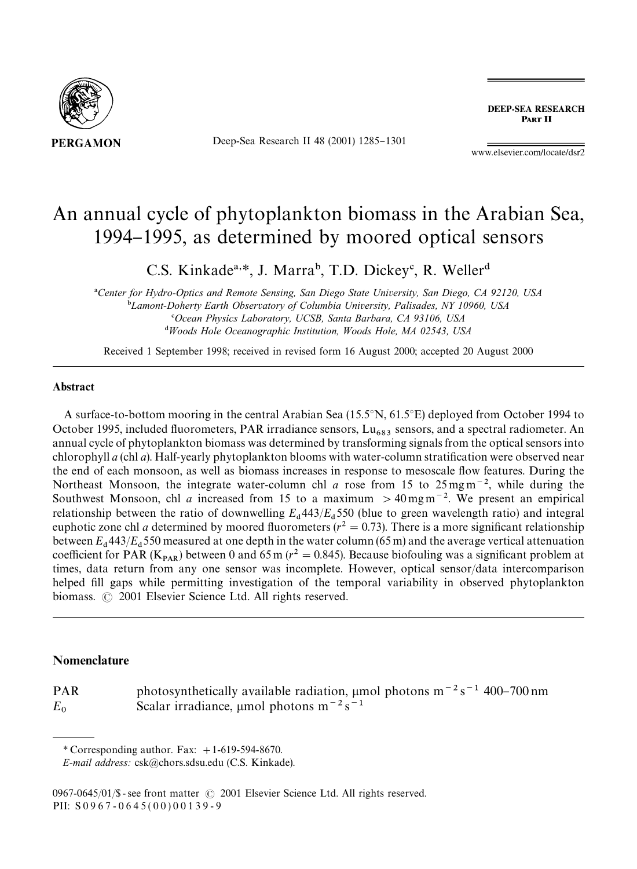

Deep-Sea Research II 48 (2001) 1285-1301

**DEEP-SEA RESEARCH** PART II

www.elsevier.com/locate/dsr2

# An annual cycle of phytoplankton biomass in the Arabian Sea, 1994-1995, as determined by moored optical sensors

C.S. Kinkade<sup>a,\*</sup>, J. Marra<sup>b</sup>, T.D. Dickey<sup>c</sup>, R. Weller<sup>d</sup>

*Center for Hydro-Optics and Remote Sensing, San Diego State University, San Diego, CA 92120, USA* -*Lamont-Doherty Earth Observatory of Columbia University, Palisades, NY 10960, USA Ocean Physics Laboratory, UCSB, Santa Barbara, CA 93106, USA Woods Hole Oceanographic Institution, Woods Hole, MA 02543, USA*

Received 1 September 1998; received in revised form 16 August 2000; accepted 20 August 2000

# Abstract

A surface-to-bottom mooring in the central Arabian Sea (15.5 $\degree$ N, 61.5 $\degree$ E) deployed from October 1994 to October 1995, included fluorometers, PAR irradiance sensors, Lu<sub>683</sub> sensors, and a spectral radiometer. An annual cycle of phytoplankton biomass was determined by transforming signals from the optical sensors into chlorophyll *a* (chl *a*). Half-yearly phytoplankton blooms with water-column stratification were observed near the end of each monsoon, as well as biomass increases in response to mesoscale #ow features. During the Northeast Monsoon, the integrate water-column chl *a* rose from 15 to  $25 \text{ mg m}^{-2}$ , while during the Southwest Monsoon, chl *a* increased from 15 to a maximum  $>$  40 mg m<sup>-2</sup>. We present an empirical relationship between the ratio of downwelling  $E_d$  443/ $E_d$  550 (blue to green wavelength ratio) and integral euphotic zone chl *a* determined by moored fluorometers ( $r^2 = 0.73$ ). There is a more significant relationship between  $E_d$ 443/ $E_d$ 550 measured at one depth in the water column (65 m) and the average vertical attenuation coefficient for PAR ( $K_{PAR}$ ) between 0 and 65 m ( $r^2 = 0.845$ ). Because biofouling was a significant problem at times, data return from any one sensor was incomplete. However, optical sensor/data intercomparison helped fill gaps while permitting investigation of the temporal variability in observed phytoplankton biomass.  $\odot$  2001 Elsevier Science Ltd. All rights reserved.

#### Nomenclature

PAR photosynthetically available radiation,  $\mu$ mol photons m<sup>-2</sup>s<sup>-1</sup> 400-700 nm  $E_0$  Scalar irradiance,  $\mu$ mol photons m<sup>-2</sup> s<sup>-1</sup>

*<sup>\*</sup>* Corresponding author. Fax: #1-619-594-8670.

*E-mail address:* csk@chors.sdsu.edu (C.S. Kinkade).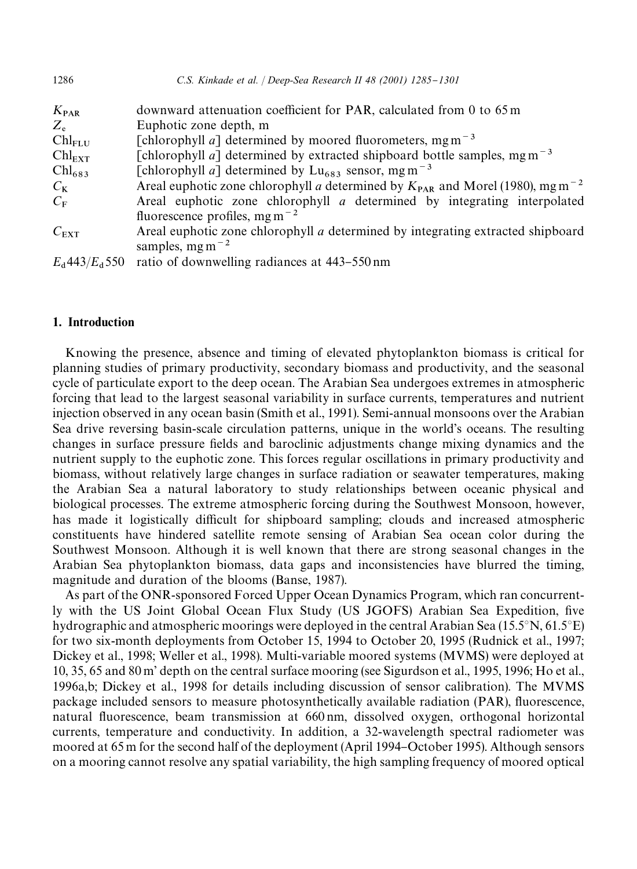| C.S. Kinkade et al.   Deep-Sea Research II 48 (2001) 1285-1301                                        |
|-------------------------------------------------------------------------------------------------------|
| downward attenuation coefficient for PAR, calculated from 0 to 65 m                                   |
| Euphotic zone depth, m                                                                                |
| [chlorophyll <i>a</i> ] determined by moored fluorometers, mg m <sup>-3</sup>                         |
| [chlorophyll <i>a</i> ] determined by extracted shipboard bottle samples, mg m <sup>-3</sup>          |
| [chlorophyll a] determined by $Lu_{683}$ sensor, mg m <sup>-3</sup>                                   |
| Areal euphotic zone chlorophyll a determined by $K_{\text{PAR}}$ and Morel (1980), mg m <sup>-2</sup> |
| Areal euphotic zone chlorophyll $a$ determined by integrating interpolated                            |
| fluorescence profiles, mg m <sup><math>-2</math></sup>                                                |
| Areal euphotic zone chlorophyll <i>a</i> determined by integrating extracted shipboard                |
| samples, $mgm^{-2}$                                                                                   |
| ratio of downwelling radiances at 443–550 nm                                                          |
|                                                                                                       |

# 1. Introduction

Knowing the presence, absence and timing of elevated phytoplankton biomass is critical for planning studies of primary productivity, secondary biomass and productivity, and the seasonal cycle of particulate export to the deep ocean. The Arabian Sea undergoes extremes in atmospheric forcing that lead to the largest seasonal variability in surface currents, temperatures and nutrient injection observed in any ocean basin (Smith et al., 1991). Semi-annual monsoons over the Arabian Sea drive reversing basin-scale circulation patterns, unique in the world's oceans. The resulting changes in surface pressure fields and baroclinic adjustments change mixing dynamics and the nutrient supply to the euphotic zone. This forces regular oscillations in primary productivity and biomass, without relatively large changes in surface radiation or seawater temperatures, making the Arabian Sea a natural laboratory to study relationships between oceanic physical and biological processes. The extreme atmospheric forcing during the Southwest Monsoon, however, has made it logistically difficult for shipboard sampling; clouds and increased atmospheric constituents have hindered satellite remote sensing of Arabian Sea ocean color during the Southwest Monsoon. Although it is well known that there are strong seasonal changes in the Arabian Sea phytoplankton biomass, data gaps and inconsistencies have blurred the timing, magnitude and duration of the blooms (Banse, 1987).

As part of the ONR-sponsored Forced Upper Ocean Dynamics Program, which ran concurrently with the US Joint Global Ocean Flux Study (US JGOFS) Arabian Sea Expedition, five hydrographic and atmospheric moorings were deployed in the central Arabian Sea (15.5 $\rm {}^{\circ}N, 61.5\rm {}^{\circ}E)$ for two six-month deployments from October 15, 1994 to October 20, 1995 (Rudnick et al., 1997; Dickey et al., 1998; Weller et al., 1998). Multi-variable moored systems (MVMS) were deployed at 10, 35, 65 and 80 m' depth on the central surface mooring (see Sigurdson et al., 1995, 1996; Ho et al., 1996a,b; Dickey et al., 1998 for details including discussion of sensor calibration). The MVMS package included sensors to measure photosynthetically available radiation (PAR), fluorescence, natural fluorescence, beam transmission at 660 nm, dissolved oxygen, orthogonal horizontal currents, temperature and conductivity. In addition, a 32-wavelength spectral radiometer was moored at 65 m for the second half of the deployment (April 1994–October 1995). Although sensors on a mooring cannot resolve any spatial variability, the high sampling frequency of moored optical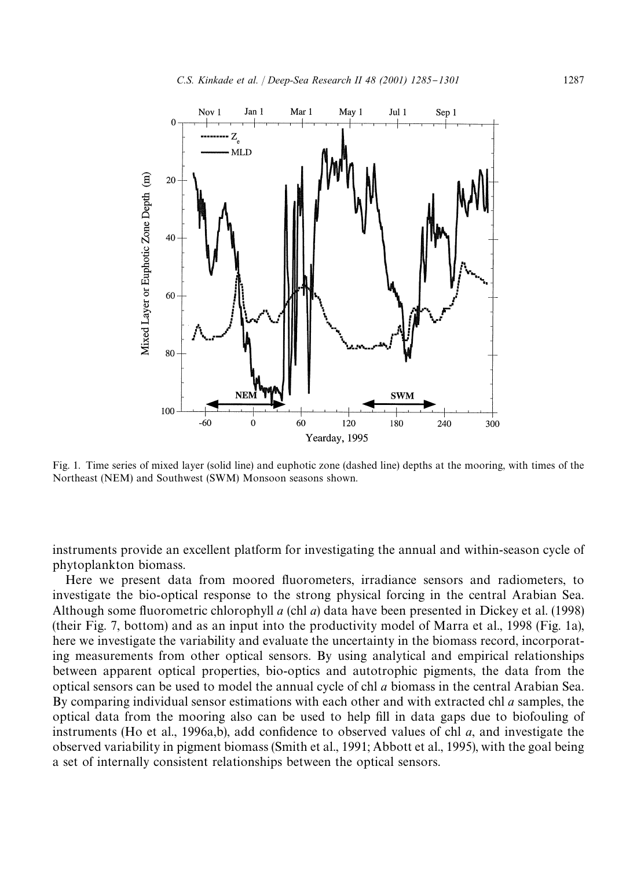

Fig. 1. Time series of mixed layer (solid line) and euphotic zone (dashed line) depths at the mooring, with times of the Northeast (NEM) and Southwest (SWM) Monsoon seasons shown.

instruments provide an excellent platform for investigating the annual and within-season cycle of phytoplankton biomass.

Here we present data from moored fluorometers, irradiance sensors and radiometers, to investigate the bio-optical response to the strong physical forcing in the central Arabian Sea. Although some fluorometric chlorophyll *a* (chl *a*) data have been presented in Dickey et al. (1998) (their Fig. 7, bottom) and as an input into the productivity model of Marra et al., 1998 (Fig. 1a), here we investigate the variability and evaluate the uncertainty in the biomass record, incorporating measurements from other optical sensors. By using analytical and empirical relationships between apparent optical properties, bio-optics and autotrophic pigments, the data from the optical sensors can be used to model the annual cycle of chl *a* biomass in the central Arabian Sea. By comparing individual sensor estimations with each other and with extracted chl *a* samples, the optical data from the mooring also can be used to help fill in data gaps due to biofouling of instruments (Ho et al., 1996a,b), add confidence to observed values of chl  $a$ , and investigate the observed variability in pigment biomass (Smith et al., 1991; Abbott et al., 1995), with the goal being a set of internally consistent relationships between the optical sensors.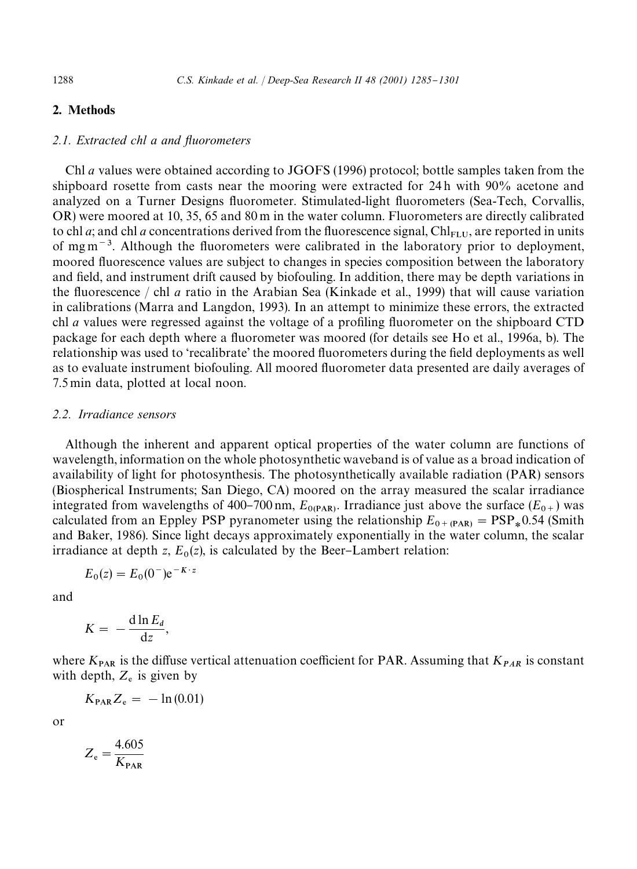# 2. Methods

#### *2.1. Extracted chl a and fluorometers*

Chl *a* values were obtained according to JGOFS (1996) protocol; bottle samples taken from the shipboard rosette from casts near the mooring were extracted for 24 h with 90% acetone and analyzed on a Turner Designs #uorometer. Stimulated-light #uorometers (Sea-Tech, Corvallis, OR) were moored at 10, 35, 65 and 80 m in the water column. Fluorometers are directly calibrated to chl *a*; and chl *a* concentrations derived from the fluorescence signal,  $\text{Ch}_{\text{FLU}}$ , are reported in units of mg m<sup> $-3$ </sup>. Although the fluorometers were calibrated in the laboratory prior to deployment, moored fluorescence values are subject to changes in species composition between the laboratory and field, and instrument drift caused by biofouling. In addition, there may be depth variations in the #uorescence / chl *a* ratio in the Arabian Sea (Kinkade et al., 1999) that will cause variation in calibrations (Marra and Langdon, 1993). In an attempt to minimize these errors, the extracted chl *a* values were regressed against the voltage of a profiling fluorometer on the shipboard CTD package for each depth where a fluorometer was moored (for details see Ho et al., 1996a, b). The relationship was used to 'recalibrate' the moored fluorometers during the field deployments as well as to evaluate instrument biofouling. All moored fluorometer data presented are daily averages of 7.5 min data, plotted at local noon.

## *2.2. Irradiance sensors*

Although the inherent and apparent optical properties of the water column are functions of wavelength, information on the whole photosynthetic waveband is of value as a broad indication of availability of light for photosynthesis. The photosynthetically available radiation (PAR) sensors (Biospherical Instruments; San Diego, CA) moored on the array measured the scalar irradiance integrated from wavelengths of 400–700 nm,  $E_{0(PAR)}$ . Irradiance just above the surface ( $E_{0+}$ ) was calculated from an Eppley PSP pyranometer using the relationship  $E_{0+ (PAR)} = PSP_*0.54$  (Smith and Baker, 1986). Since light decays approximately exponentially in the water column, the scalar irradiance at depth  $z$ ,  $E_0(z)$ , is calculated by the Beer-Lambert relation:

$$
E_0(z) = E_0(0^-)e^{-K \cdot z}
$$

and

$$
K = -\frac{\mathrm{d}\ln E_d}{\mathrm{d}z},
$$

where  $K_{PAR}$  is the diffuse vertical attenuation coefficient for PAR. Assuming that  $K_{PAR}$  is constant with depth,  $Z_e$  is given by

$$
K_{\rm PAR}Z_{\rm e} = -\ln(0.01)
$$

or

$$
Z_{\rm e} = \frac{4.605}{K_{\rm PAR}}
$$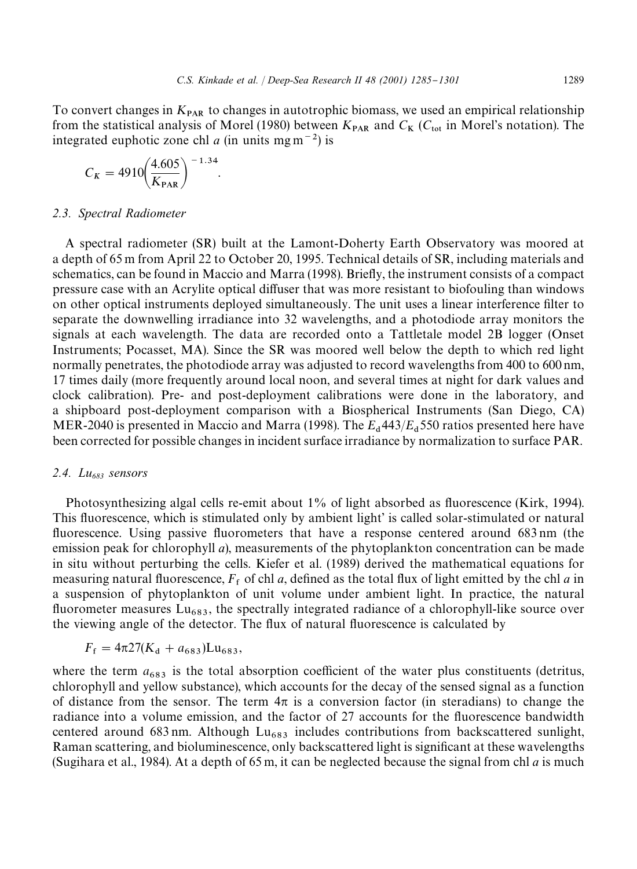To convert changes in  $K_{\text{PAR}}$  to changes in autotrophic biomass, we used an empirical relationship from the statistical analysis of Morel (1980) between  $K_{PAR}$  and  $C_K$  ( $C_{tot}$  in Morel's notation). The integrated euphotic zone chl *a* (in units mg m<sup> $-2$ </sup>) is

$$
C_K = 4910 \left(\frac{4.605}{K_{PAR}}\right)^{-1.34}.
$$

#### *2.3. Spectral Radiometer*

A spectral radiometer (SR) built at the Lamont-Doherty Earth Observatory was moored at a depth of 65 m from April 22 to October 20, 1995. Technical details of SR, including materials and schematics, can be found in Maccio and Marra (1998). Briefly, the instrument consists of a compact pressure case with an Acrylite optical diffuser that was more resistant to biofouling than windows on other optical instruments deployed simultaneously. The unit uses a linear interference filter to separate the downwelling irradiance into 32 wavelengths, and a photodiode array monitors the signals at each wavelength. The data are recorded onto a Tattletale model 2B logger (Onset Instruments; Pocasset, MA). Since the SR was moored well below the depth to which red light normally penetrates, the photodiode array was adjusted to record wavelengths from 400 to 600 nm, 17 times daily (more frequently around local noon, and several times at night for dark values and clock calibration). Pre- and post-deployment calibrations were done in the laboratory, and a shipboard post-deployment comparison with a Biospherical Instruments (San Diego, CA) MER-2040 is presented in Maccio and Marra (1998). The *E* 443/*E* 550 ratios presented here have been corrected for possible changes in incident surface irradiance by normalization to surface PAR.

#### *2.4. Lu683 sensors*

Photosynthesizing algal cells re-emit about  $1\%$  of light absorbed as fluorescence (Kirk, 1994). This fluorescence, which is stimulated only by ambient light' is called solar-stimulated or natural fluorescence. Using passive fluorometers that have a response centered around 683 nm (the emission peak for chlorophyll *a*), measurements of the phytoplankton concentration can be made in situ without perturbing the cells. Kiefer et al. (1989) derived the mathematical equations for measuring natural fluorescence,  $F_f$  of chl  $a$ , defined as the total flux of light emitted by the chl  $a$  in a suspension of phytoplankton of unit volume under ambient light. In practice, the natural fluorometer measures  $\text{Lu}_{683}$ , the spectrally integrated radiance of a chlorophyll-like source over the viewing angle of the detector. The flux of natural fluorescence is calculated by

$$
F_{\rm f} = 4\pi 27(K_{\rm d} + a_{683})
$$
Lu<sub>683</sub>,

where the term  $a_{683}$  is the total absorption coefficient of the water plus constituents (detritus, chlorophyll and yellow substance), which accounts for the decay of the sensed signal as a function of distance from the sensor. The term  $4\pi$  is a conversion factor (in steradians) to change the radiance into a volume emission, and the factor of 27 accounts for the fluorescence bandwidth centered around 683 nm. Although  $Lu_{683}$  includes contributions from backscattered sunlight, Raman scattering, and bioluminescence, only backscattered light is significant at these wavelengths (Sugihara et al., 1984). At a depth of 65 m, it can be neglected because the signal from chl *a* is much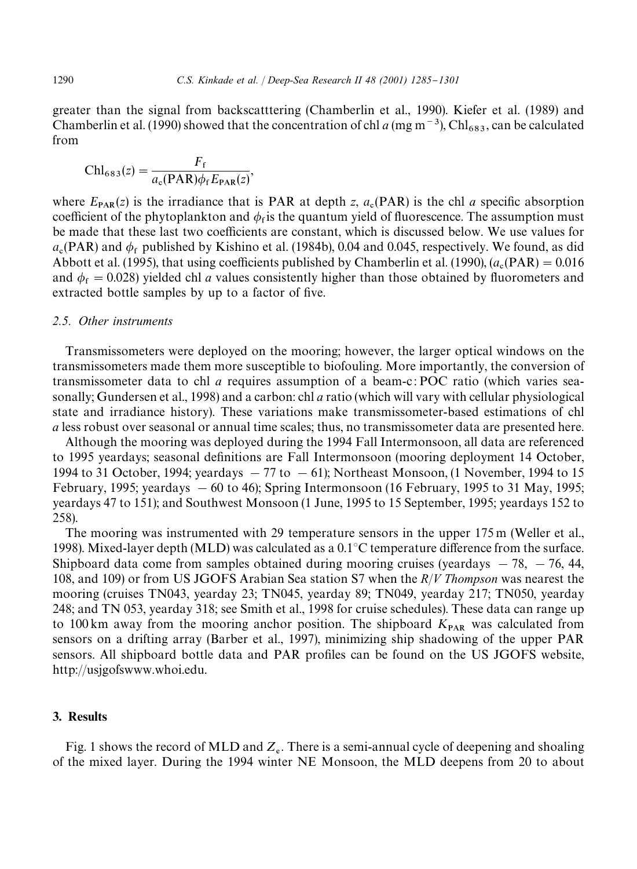greater than the signal from backscatttering (Chamberlin et al., 1990). Kiefer et al. (1989) and Chamberlin et al. (1990) showed that the concentration of chl *a* (mg m<sup>-3</sup>), Chl<sub>683</sub>, can be calculated from

$$
\text{Chl}_{683}(z) = \frac{F_{\text{f}}}{a_{\text{c}}(\text{PAR})\phi_{\text{f}}E_{\text{PAR}}(z)},
$$

where  $E_{\text{PAR}}(z)$  is the irradiance that is PAR at depth *z*,  $a_c(PAR)$  is the chl *a* specific absorption coefficient of the phytoplankton and  $\phi_f$  is the quantum yield of fluorescence. The assumption must be made that these last two coefficients are constant, which is discussed below. We use values for  $a_c$ (PAR) and  $\phi_f$  published by Kishino et al. (1984b), 0.04 and 0.045, respectively. We found, as did Abbott et al. (1995), that using coefficients published by Chamberlin et al. (1990),  $(a_c(PAR) = 0.016$ and  $\phi_f = 0.028$ ) yielded chl *a* values consistently higher than those obtained by fluorometers and extracted bottle samples by up to a factor of five.

#### *2.5. Other instruments*

Transmissometers were deployed on the mooring; however, the larger optical windows on the transmissometers made them more susceptible to biofouling. More importantly, the conversion of transmissometer data to chl *a* requires assumption of a beam-c : POC ratio (which varies seasonally; Gundersen et al., 1998) and a carbon: chl *a* ratio (which will vary with cellular physiological state and irradiance history). These variations make transmissometer-based estimations of chl *a* less robust over seasonal or annual time scales; thus, no transmissometer data are presented here.

Although the mooring was deployed during the 1994 Fall Intermonsoon, all data are referenced to 1995 yeardays; seasonal definitions are Fall Intermonsoon (mooring deployment 14 October, 1994 to 31 October, 1994; yeardays  $-77$  to  $-61$ ); Northeast Monsoon, (1 November, 1994 to 15 February, 1995; yeardays  $-60$  to 46); Spring Intermonsoon (16 February, 1995 to 31 May, 1995; yeardays 47 to 151); and Southwest Monsoon (1 June, 1995 to 15 September, 1995; yeardays 152 to 258).

The mooring was instrumented with 29 temperature sensors in the upper 175 m (Weller et al., 1998). Mixed-layer depth (MLD) was calculated as a  $0.1^{\circ}$ C temperature difference from the surface. Shipboard data come from samples obtained during mooring cruises (yeardays  $-78$ ,  $-76$ , 44, 108, and 109) or from US JGOFS Arabian Sea station S7 when the *R*/*V Thompson* was nearest the mooring (cruises TN043, yearday 23; TN045, yearday 89; TN049, yearday 217; TN050, yearday 248; and TN 053, yearday 318; see Smith et al., 1998 for cruise schedules). These data can range up to 100 km away from the mooring anchor position. The shipboard  $K_{PAR}$  was calculated from sensors on a drifting array (Barber et al., 1997), minimizing ship shadowing of the upper PAR sensors. All shipboard bottle data and PAR profiles can be found on the US JGOFS website, http://usjgofswww.whoi.edu.

## 3. Results

Fig. 1 shows the record of MLD and  $Z_e$ . There is a semi-annual cycle of deepening and shoaling of the mixed layer. During the 1994 winter NE Monsoon, the MLD deepens from 20 to about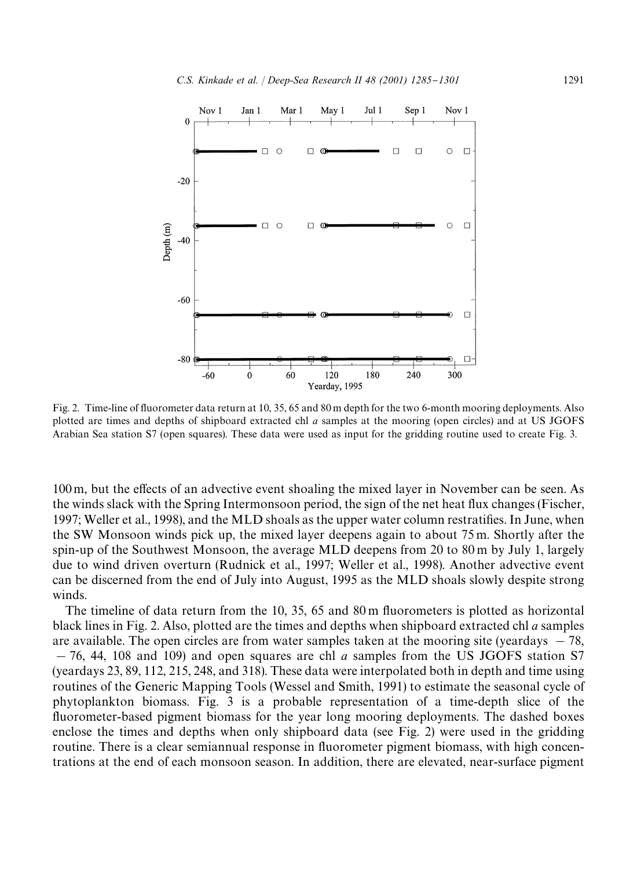

Fig. 2. Time-line of #uorometer data return at 10, 35, 65 and 80 m depth for the two 6-month mooring deployments. Also plotted are times and depths of shipboard extracted chl *a* samples at the mooring (open circles) and at US JGOFS Arabian Sea station S7 (open squares). These data were used as input for the gridding routine used to create Fig. 3.

100 m, but the effects of an advective event shoaling the mixed layer in November can be seen. As the winds slack with the Spring Intermonsoon period, the sign of the net heat flux changes (Fischer, 1997; Weller et al., 1998), and the MLD shoals as the upper water column restratifies. In June, when the SW Monsoon winds pick up, the mixed layer deepens again to about 75 m. Shortly after the spin-up of the Southwest Monsoon, the average MLD deepens from 20 to 80 m by July 1, largely due to wind driven overturn (Rudnick et al., 1997; Weller et al., 1998). Another advective event can be discerned from the end of July into August, 1995 as the MLD shoals slowly despite strong winds.

The timeline of data return from the 10, 35, 65 and 80 m fluorometers is plotted as horizontal black lines in Fig. 2. Also, plotted are the times and depths when shipboard extracted chl *a* samples are available. The open circles are from water samples taken at the mooring site (yeardays  $-78$ ,  $-76$ , 44, 108 and 109) and open squares are chl *a* samples from the US JGOFS station S7 (yeardays 23, 89, 112, 215, 248, and 318). These data were interpolated both in depth and time using routines of the Generic Mapping Tools (Wessel and Smith, 1991) to estimate the seasonal cycle of phytoplankton biomass. Fig. 3 is a probable representation of a time-depth slice of the fluorometer-based pigment biomass for the year long mooring deployments. The dashed boxes enclose the times and depths when only shipboard data (see Fig. 2) were used in the gridding routine. There is a clear semiannual response in fluorometer pigment biomass, with high concentrations at the end of each monsoon season. In addition, there are elevated, near-surface pigment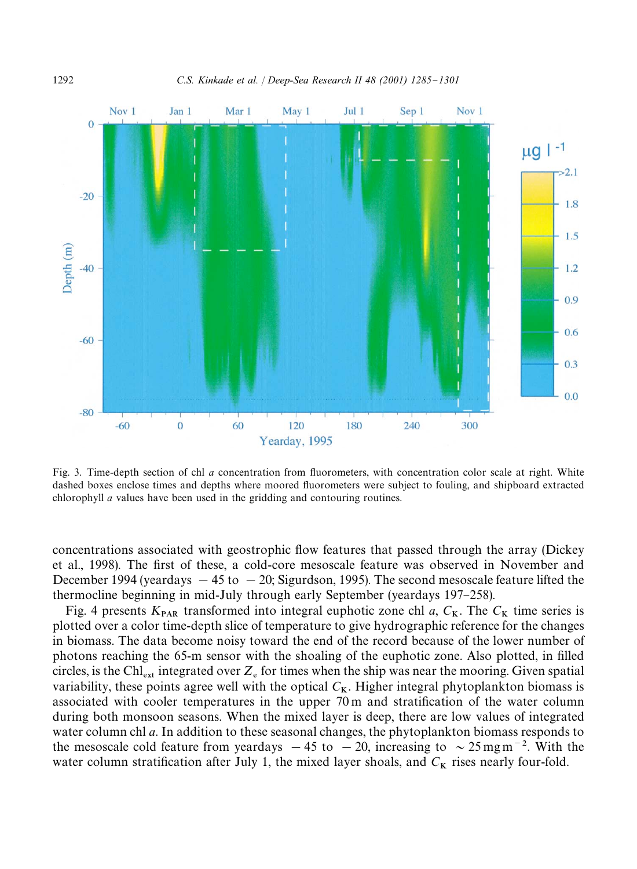

Fig. 3. Time-depth section of chl *a* concentration from fluorometers, with concentration color scale at right. White dashed boxes enclose times and depths where moored #uorometers were subject to fouling, and shipboard extracted chlorophyll *a* values have been used in the gridding and contouring routines.

concentrations associated with geostrophic flow features that passed through the array (Dickey et al., 1998). The first of these, a cold-core mesoscale feature was observed in November and December 1994 (yeardays  $-45$  to  $-20$ ; Sigurdson, 1995). The second mesoscale feature lifted the thermocline beginning in mid-July through early September (yeardays 197–258).

Fig. 4 presents  $K_{PAR}$  transformed into integral euphotic zone chl *a*,  $C_K$ . The  $C_K$  time series is plotted over a color time-depth slice of temperature to give hydrographic reference for the changes in biomass. The data become noisy toward the end of the record because of the lower number of photons reaching the 65-m sensor with the shoaling of the euphotic zone. Also plotted, in filled circles, is the Chl<sub>ext</sub> integrated over  $Z_e$  for times when the ship was near the mooring. Given spatial variability, these points agree well with the optical  $C_K$ . Higher integral phytoplankton biomass is associated with cooler temperatures in the upper 70 m and stratification of the water column during both monsoon seasons. When the mixed layer is deep, there are low values of integrated water column chl *a*. In addition to these seasonal changes, the phytoplankton biomass responds to the mesoscale cold feature from yeardays  $-45$  to  $-20$ , increasing to  $\sim 25$  mg m<sup>-2</sup>. With the water column stratification after July 1, the mixed layer shoals, and  $C_K$  rises nearly four-fold.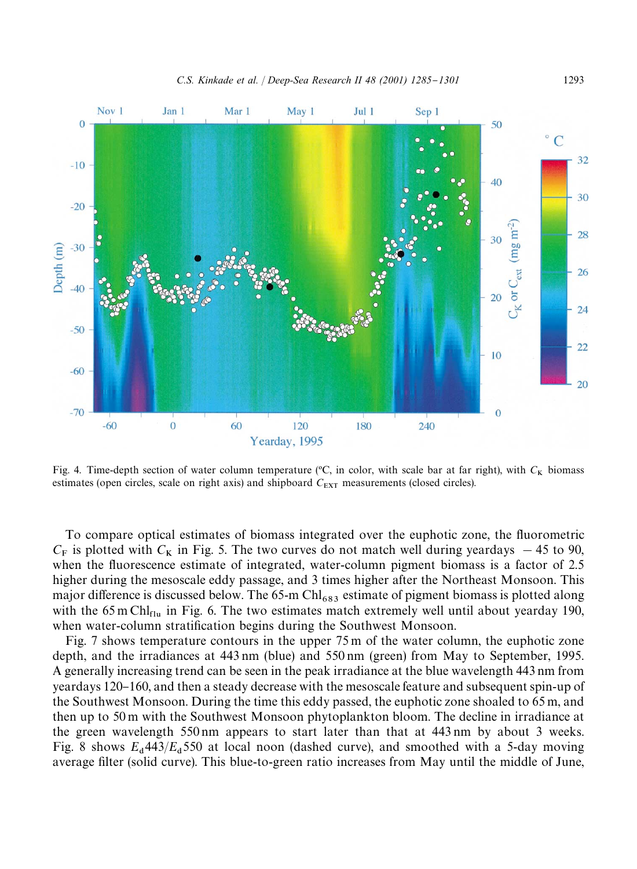

Fig. 4. Time-depth section of water column temperature  $\rm{({}^{\circ}C}$ , in color, with scale bar at far right), with  $C_K$  biomass estimates (open circles, scale on right axis) and shipboard  $C_{\text{EXT}}$  measurements (closed circles).

To compare optical estimates of biomass integrated over the euphotic zone, the fluorometric  $C_F$  is plotted with  $C_K$  in Fig. 5. The two curves do not match well during yeardays  $-45$  to 90, when the fluorescence estimate of integrated, water-column pigment biomass is a factor of 2.5 higher during the mesoscale eddy passage, and 3 times higher after the Northeast Monsoon. This major difference is discussed below. The 65-m Chl<sub>683</sub> estimate of pigment biomass is plotted along with the  $65 \text{ m}$  Chl<sub>flu</sub> in Fig. 6. The two estimates match extremely well until about yearday 190, when water-column stratification begins during the Southwest Monsoon.

Fig. 7 shows temperature contours in the upper 75 m of the water column, the euphotic zone depth, and the irradiances at 443 nm (blue) and 550 nm (green) from May to September, 1995. A generally increasing trend can be seen in the peak irradiance at the blue wavelength 443 nm from yeardays 120}160, and then a steady decrease with the mesoscale feature and subsequent spin-up of the Southwest Monsoon. During the time this eddy passed, the euphotic zone shoaled to 65 m, and then up to 50 m with the Southwest Monsoon phytoplankton bloom. The decline in irradiance at the green wavelength 550 nm appears to start later than that at 443 nm by about 3 weeks. Fig. 8 shows  $E_d$ 443/ $E_d$ 550 at local noon (dashed curve), and smoothed with a 5-day moving average filter (solid curve). This blue-to-green ratio increases from May until the middle of June,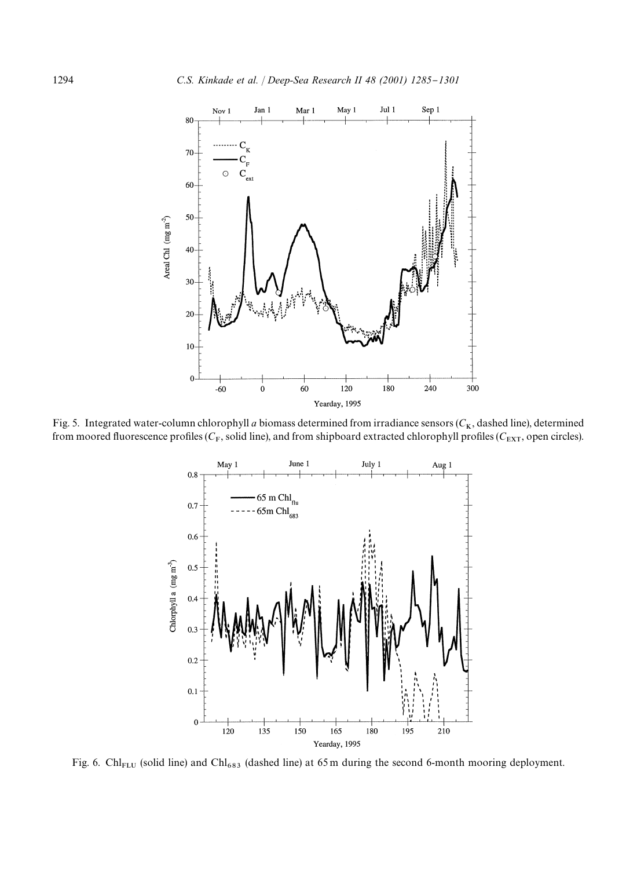

Fig. 5. Integrated water-column chlorophyll *a* biomass determined from irradiance sensors ( $C_K$ , dashed line), determined from moored fluorescence profiles ( $C_F$ , solid line), and from shipboard extracted chlorophyll profiles ( $C_{\rm EXT}$ , open circles).



Fig. 6. Chl<sub>FLU</sub> (solid line) and Chl<sub>683</sub> (dashed line) at 65 m during the second 6-month mooring deployment.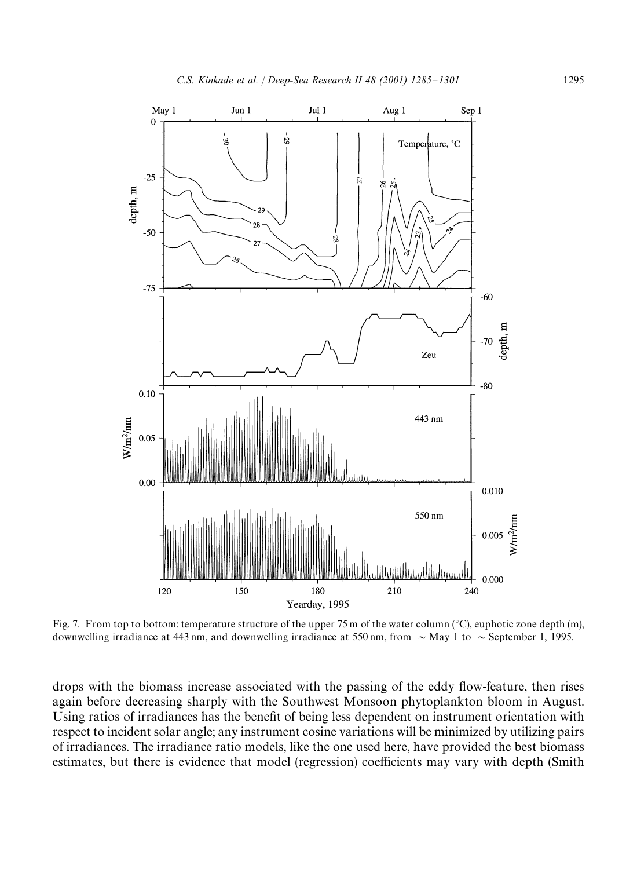

Fig. 7. From top to bottom: temperature structure of the upper 75 m of the water column ( $\degree$ C), euphotic zone depth (m), downwelling irradiance at 443 nm, and downwelling irradiance at 550 nm, from  $\sim$  May 1 to  $\sim$  September 1, 1995.

drops with the biomass increase associated with the passing of the eddy #ow-feature, then rises again before decreasing sharply with the Southwest Monsoon phytoplankton bloom in August. Using ratios of irradiances has the benefit of being less dependent on instrument orientation with respect to incident solar angle; any instrument cosine variations will be minimized by utilizing pairs of irradiances. The irradiance ratio models, like the one used here, have provided the best biomass estimates, but there is evidence that model (regression) coefficients may vary with depth (Smith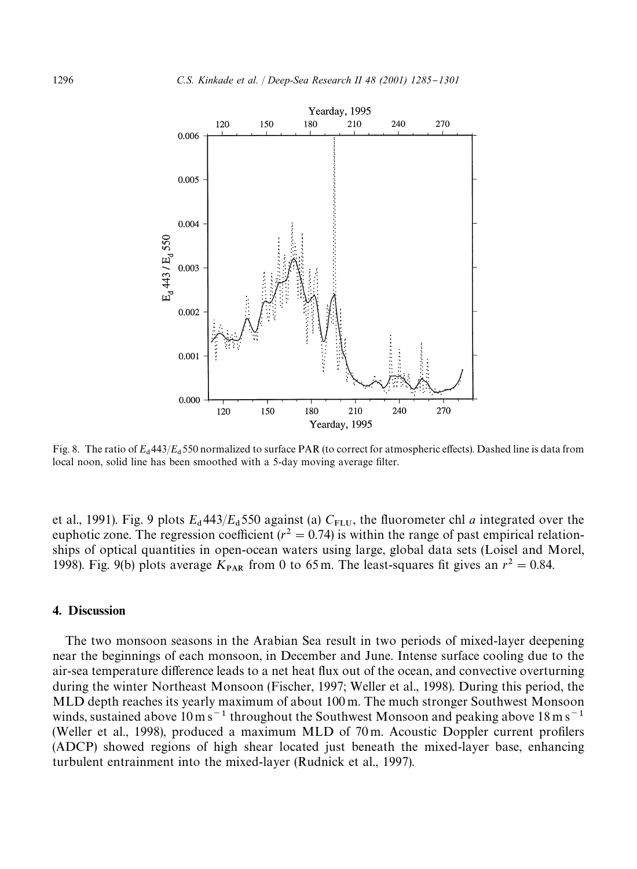

Fig. 8. The ratio of  $E_d$ 443/ $E_d$ 550 normalized to surface PAR (to correct for atmospheric effects). Dashed line is data from local noon, solid line has been smoothed with a 5-day moving average filter.

et al., 1991). Fig. 9 plots  $E_d$  443/ $E_d$  550 against (a)  $C_{FLU}$ , the fluorometer chl *a* integrated over the euphotic zone. The regression coefficient ( $r^2 = 0.74$ ) is within the range of past empirical relationships of optical quantities in open-ocean waters using large, global data sets (Loisel and Morel, 1998). Fig. 9(b) plots average  $K_{\text{PAR}}$  from 0 to 65 m. The least-squares fit gives an  $r^2 = 0.84$ .

# 4. Discussion

The two monsoon seasons in the Arabian Sea result in two periods of mixed-layer deepening near the beginnings of each monsoon, in December and June. Intense surface cooling due to the air-sea temperature difference leads to a net heat flux out of the ocean, and convective overturning during the winter Northeast Monsoon (Fischer, 1997; Weller et al., 1998). During this period, the MLD depth reaches its yearly maximum of about 100 m. The much stronger Southwest Monsoon winds, sustained above  $10 \text{ m s}^{-1}$  throughout the Southwest Monsoon and peaking above  $18 \text{ m s}^{-1}$ (Weller et al., 1998), produced a maximum MLD of  $70 \text{ m}$ . Acoustic Doppler current profilers (ADCP) showed regions of high shear located just beneath the mixed-layer base, enhancing turbulent entrainment into the mixed-layer (Rudnick et al., 1997).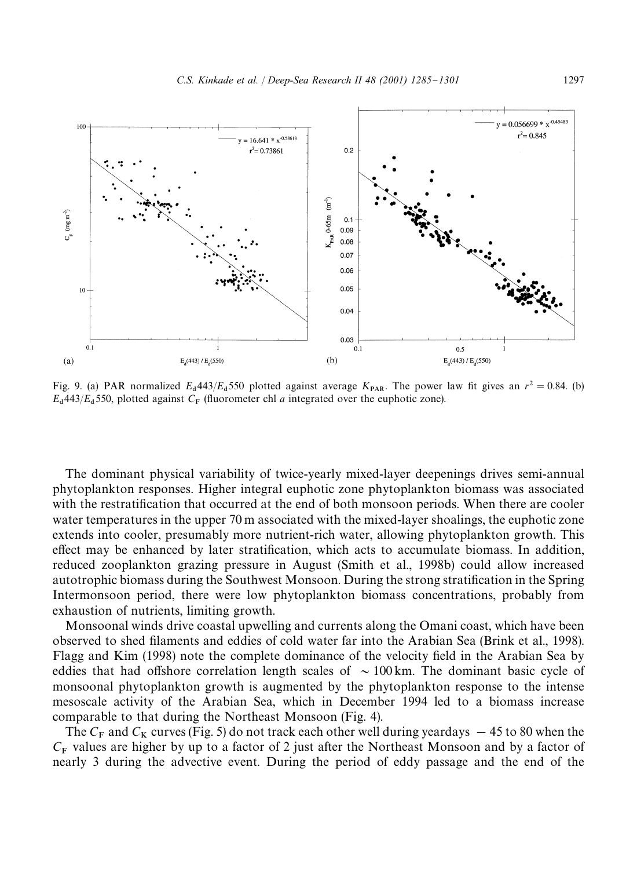

Fig. 9. (a) PAR normalized  $E_d$  443/ $E_d$  550 plotted against average  $K_{PAR}$ . The power law fit gives an  $r^2 = 0.84$ . (b)  $E_{d}$ 443/ $E_{d}$ 550, plotted against  $C_{F}$  (fluorometer chl *a* integrated over the euphotic zone).

The dominant physical variability of twice-yearly mixed-layer deepenings drives semi-annual phytoplankton responses. Higher integral euphotic zone phytoplankton biomass was associated with the restratification that occurred at the end of both monsoon periods. When there are cooler water temperatures in the upper 70 m associated with the mixed-layer shoalings, the euphotic zone extends into cooler, presumably more nutrient-rich water, allowing phytoplankton growth. This effect may be enhanced by later stratification, which acts to accumulate biomass. In addition, reduced zooplankton grazing pressure in August (Smith et al., 1998b) could allow increased autotrophic biomass during the Southwest Monsoon. During the strong stratification in the Spring Intermonsoon period, there were low phytoplankton biomass concentrations, probably from exhaustion of nutrients, limiting growth.

Monsoonal winds drive coastal upwelling and currents along the Omani coast, which have been observed to shed "laments and eddies of cold water far into the Arabian Sea (Brink et al., 1998). Flagg and Kim (1998) note the complete dominance of the velocity field in the Arabian Sea by eddies that had offshore correlation length scales of  $\sim 100$  km. The dominant basic cycle of monsoonal phytoplankton growth is augmented by the phytoplankton response to the intense mesoscale activity of the Arabian Sea, which in December 1994 led to a biomass increase comparable to that during the Northeast Monsoon (Fig. 4).

The  $C_F$  and  $C_K$  curves (Fig. 5) do not track each other well during yeardays  $-45$  to 80 when the  $C_F$  values are higher by up to a factor of 2 just after the Northeast Monsoon and by a factor of nearly 3 during the advective event. During the period of eddy passage and the end of the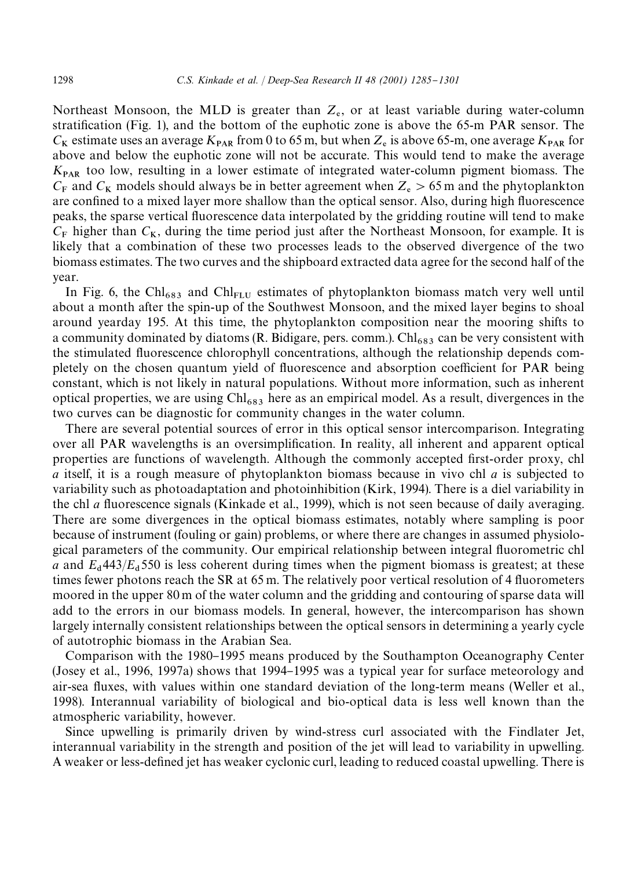Northeast Monsoon, the MLD is greater than  $Z_e$ , or at least variable during water-column stratification (Fig. 1), and the bottom of the euphotic zone is above the  $65-m$  PAR sensor. The  $C_K$  estimate uses an average  $K_{PAR}$  from 0 to 65 m, but when  $Z_e$  is above 65-m, one average  $K_{PAR}$  for above and below the euphotic zone will not be accurate. This would tend to make the average  $K_{\text{PAR}}$  too low, resulting in a lower estimate of integrated water-column pigment biomass. The  $C_F$  and  $C_K$  models should always be in better agreement when  $Z_e > 65$  m and the phytoplankton are confined to a mixed layer more shallow than the optical sensor. Also, during high fluorescence peaks, the sparse vertical #uorescence data interpolated by the gridding routine will tend to make  $C_F$  higher than  $C_K$ , during the time period just after the Northeast Monsoon, for example. It is likely that a combination of these two processes leads to the observed divergence of the two biomass estimates. The two curves and the shipboard extracted data agree for the second half of the year.

In Fig. 6, the Chl<sub>683</sub> and Chl<sub>FLU</sub> estimates of phytoplankton biomass match very well until about a month after the spin-up of the Southwest Monsoon, and the mixed layer begins to shoal around yearday 195. At this time, the phytoplankton composition near the mooring shifts to a community dominated by diatoms  $(R.$  Bidigare, pers. comm.). Chl<sub>683</sub> can be very consistent with the stimulated fluorescence chlorophyll concentrations, although the relationship depends completely on the chosen quantum yield of fluorescence and absorption coefficient for PAR being constant, which is not likely in natural populations. Without more information, such as inherent optical properties, we are using  $Chl_{683}$  here as an empirical model. As a result, divergences in the two curves can be diagnostic for community changes in the water column.

There are several potential sources of error in this optical sensor intercomparison. Integrating over all PAR wavelengths is an oversimplification. In reality, all inherent and apparent optical properties are functions of wavelength. Although the commonly accepted first-order proxy, chl *a* itself, it is a rough measure of phytoplankton biomass because in vivo chl *a* is subjected to variability such as photoadaptation and photoinhibition (Kirk, 1994). There is a diel variability in the chl *a* #uorescence signals (Kinkade et al., 1999), which is not seen because of daily averaging. There are some divergences in the optical biomass estimates, notably where sampling is poor because of instrument (fouling or gain) problems, or where there are changes in assumed physiological parameters of the community. Our empirical relationship between integral #uorometric chl *a* and  $E_d$  443/ $E_d$  550 is less coherent during times when the pigment biomass is greatest; at these times fewer photons reach the SR at  $65$  m. The relatively poor vertical resolution of 4 fluorometers moored in the upper 80 m of the water column and the gridding and contouring of sparse data will add to the errors in our biomass models. In general, however, the intercomparison has shown largely internally consistent relationships between the optical sensors in determining a yearly cycle of autotrophic biomass in the Arabian Sea.

Comparison with the 1980–1995 means produced by the Southampton Oceanography Center (Josey et al., 1996, 1997a) shows that 1994–1995 was a typical year for surface meteorology and air-sea fluxes, with values within one standard deviation of the long-term means (Weller et al., 1998). Interannual variability of biological and bio-optical data is less well known than the atmospheric variability, however.

Since upwelling is primarily driven by wind-stress curl associated with the Findlater Jet, interannual variability in the strength and position of the jet will lead to variability in upwelling. A weaker or less-defined jet has weaker cyclonic curl, leading to reduced coastal upwelling. There is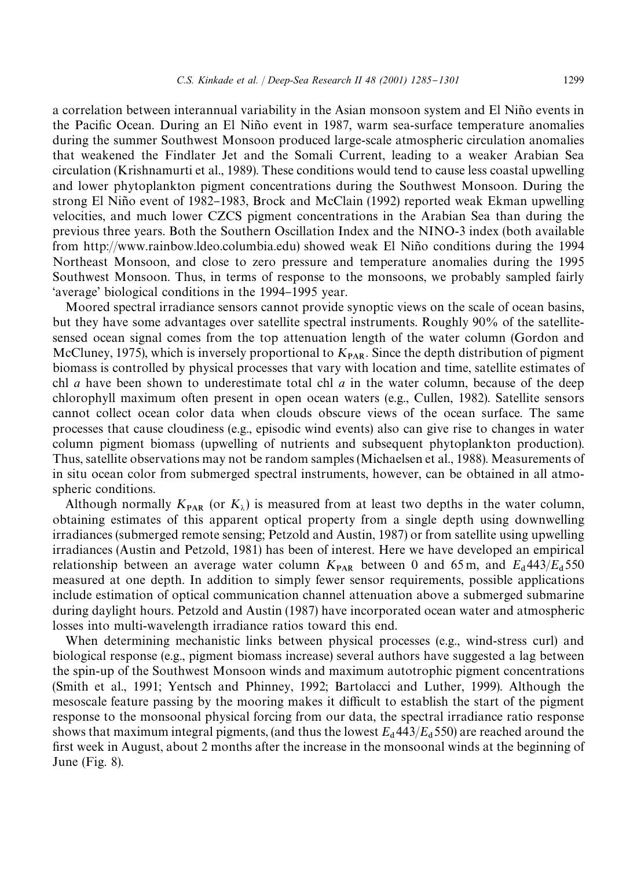a correlation between interannual variability in the Asian monsoon system and El Nino events in the Pacific Ocean. During an El Niño event in 1987, warm sea-surface temperature anomalies during the summer Southwest Monsoon produced large-scale atmospheric circulation anomalies that weakened the Findlater Jet and the Somali Current, leading to a weaker Arabian Sea circulation (Krishnamurti et al., 1989). These conditions would tend to cause less coastal upwelling and lower phytoplankton pigment concentrations during the Southwest Monsoon. During the strong El Niño event of 1982–1983, Brock and McClain (1992) reported weak Ekman upwelling velocities, and much lower CZCS pigment concentrations in the Arabian Sea than during the previous three years. Both the Southern Oscillation Index and the NINO-3 index (both available from http://www.rainbow.ldeo.columbia.edu) showed weak El Nino conditions during the 1994 Northeast Monsoon, and close to zero pressure and temperature anomalies during the 1995 Southwest Monsoon. Thus, in terms of response to the monsoons, we probably sampled fairly 'average' biological conditions in the 1994–1995 year.

Moored spectral irradiance sensors cannot provide synoptic views on the scale of ocean basins, but they have some advantages over satellite spectral instruments. Roughly 90% of the satellitesensed ocean signal comes from the top attenuation length of the water column (Gordon and McCluney, 1975), which is inversely proportional to  $K_{\text{PAR}}$ . Since the depth distribution of pigment biomass is controlled by physical processes that vary with location and time, satellite estimates of chl *a* have been shown to underestimate total chl *a* in the water column, because of the deep chlorophyll maximum often present in open ocean waters (e.g., Cullen, 1982). Satellite sensors cannot collect ocean color data when clouds obscure views of the ocean surface. The same processes that cause cloudiness (e.g., episodic wind events) also can give rise to changes in water column pigment biomass (upwelling of nutrients and subsequent phytoplankton production). Thus, satellite observations may not be random samples (Michaelsen et al., 1988). Measurements of in situ ocean color from submerged spectral instruments, however, can be obtained in all atmospheric conditions.

Although normally  $K_{\text{PAR}}$  (or  $K_{\lambda}$ ) is measured from at least two depths in the water column, obtaining estimates of this apparent optical property from a single depth using downwelling irradiances (submerged remote sensing; Petzold and Austin, 1987) or from satellite using upwelling irradiances (Austin and Petzold, 1981) has been of interest. Here we have developed an empirical relationship between an average water column  $K_{\text{PAR}}$  between 0 and 65 m, and  $E_d 443/E_d 550$ measured at one depth. In addition to simply fewer sensor requirements, possible applications include estimation of optical communication channel attenuation above a submerged submarine during daylight hours. Petzold and Austin (1987) have incorporated ocean water and atmospheric losses into multi-wavelength irradiance ratios toward this end.

When determining mechanistic links between physical processes (e.g., wind-stress curl) and biological response (e.g., pigment biomass increase) several authors have suggested a lag between the spin-up of the Southwest Monsoon winds and maximum autotrophic pigment concentrations (Smith et al., 1991; Yentsch and Phinney, 1992; Bartolacci and Luther, 1999). Although the mesoscale feature passing by the mooring makes it difficult to establish the start of the pigment response to the monsoonal physical forcing from our data, the spectral irradiance ratio response shows that maximum integral pigments, (and thus the lowest  $E_d$  443/ $E_d$  550) are reached around the first week in August, about 2 months after the increase in the monsoonal winds at the beginning of June (Fig. 8).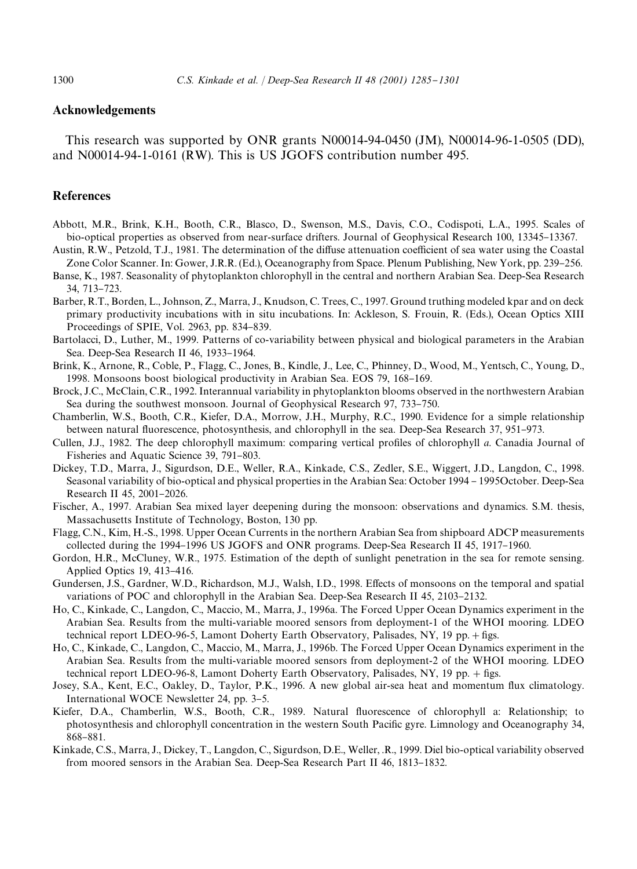# Acknowledgements

This research was supported by ONR grants N00014-94-0450 (JM), N00014-96-1-0505 (DD), and N00014-94-1-0161 (RW). This is US JGOFS contribution number 495.

# **References**

- Abbott, M.R., Brink, K.H., Booth, C.R., Blasco, D., Swenson, M.S., Davis, C.O., Codispoti, L.A., 1995. Scales of bio-optical properties as observed from near-surface drifters. Journal of Geophysical Research 100, 13345–13367.
- Austin, R.W., Petzold, T.J., 1981. The determination of the diffuse attenuation coefficient of sea water using the Coastal Zone Color Scanner. In: Gower, J.R.R. (Ed.), Oceanography from Space. Plenum Publishing, New York, pp. 239–256.
- Banse, K., 1987. Seasonality of phytoplankton chlorophyll in the central and northern Arabian Sea. Deep-Sea Research 34, 713-723.
- Barber, R.T., Borden, L., Johnson, Z., Marra, J., Knudson, C. Trees, C., 1997. Ground truthing modeled kpar and on deck primary productivity incubations with in situ incubations. In: Ackleson, S. Frouin, R. (Eds.), Ocean Optics XIII Proceedings of SPIE, Vol. 2963, pp. 834-839.
- Bartolacci, D., Luther, M., 1999. Patterns of co-variability between physical and biological parameters in the Arabian Sea. Deep-Sea Research II 46, 1933-1964.
- Brink, K., Arnone, R., Coble, P., Flagg, C., Jones, B., Kindle, J., Lee, C., Phinney, D., Wood, M., Yentsch, C., Young, D., 1998. Monsoons boost biological productivity in Arabian Sea. EOS 79, 168-169.
- Brock, J.C., McClain, C.R., 1992. Interannual variability in phytoplankton blooms observed in the northwestern Arabian Sea during the southwest monsoon. Journal of Geophysical Research 97, 733-750.
- Chamberlin, W.S., Booth, C.R., Kiefer, D.A., Morrow, J.H., Murphy, R.C., 1990. Evidence for a simple relationship between natural fluorescence, photosynthesis, and chlorophyll in the sea. Deep-Sea Research 37, 951–973.
- Cullen, J.J., 1982. The deep chlorophyll maximum: comparing vertical profiles of chlorophyll *a*. Canadia Journal of Fisheries and Aquatic Science 39, 791-803.
- Dickey, T.D., Marra, J., Sigurdson, D.E., Weller, R.A., Kinkade, C.S., Zedler, S.E., Wiggert, J.D., Langdon, C., 1998. Seasonal variability of bio-optical and physical properties in the Arabian Sea: October 1994 – 1995 October. Deep-Sea Research II 45, 2001-2026.
- Fischer, A., 1997. Arabian Sea mixed layer deepening during the monsoon: observations and dynamics. S.M. thesis, Massachusetts Institute of Technology, Boston, 130 pp.
- Flagg, C.N., Kim, H.-S., 1998. Upper Ocean Currents in the northern Arabian Sea from shipboard ADCP measurements collected during the 1994–1996 US JGOFS and ONR programs. Deep-Sea Research II 45, 1917–1960.
- Gordon, H.R., McCluney, W.R., 1975. Estimation of the depth of sunlight penetration in the sea for remote sensing. Applied Optics  $19, 413-416$ .
- Gundersen, J.S., Gardner, W.D., Richardson, M.J., Walsh, I.D., 1998. Effects of monsoons on the temporal and spatial variations of POC and chlorophyll in the Arabian Sea. Deep-Sea Research II 45, 2103-2132.
- Ho, C., Kinkade, C., Langdon, C., Maccio, M., Marra, J., 1996a. The Forced Upper Ocean Dynamics experiment in the Arabian Sea. Results from the multi-variable moored sensors from deployment-1 of the WHOI mooring. LDEO technical report LDEO-96-5, Lamont Doherty Earth Observatory, Palisades, NY, 19 pp. + figs.
- Ho, C., Kinkade, C., Langdon, C., Maccio, M., Marra, J., 1996b. The Forced Upper Ocean Dynamics experiment in the Arabian Sea. Results from the multi-variable moored sensors from deployment-2 of the WHOI mooring. LDEO technical report LDEO-96-8, Lamont Doherty Earth Observatory, Palisades, NY, 19 pp. + figs.
- Josey, S.A., Kent, E.C., Oakley, D., Taylor, P.K., 1996. A new global air-sea heat and momentum flux climatology. International WOCE Newsletter 24, pp. 3-5.
- Kiefer, D.A., Chamberlin, W.S., Booth, C.R., 1989. Natural fluorescence of chlorophyll a: Relationship; to photosynthesis and chlorophyll concentration in the western South Pacific gyre. Limnology and Oceanography 34, 868-881.
- Kinkade, C.S., Marra, J., Dickey, T., Langdon, C., Sigurdson, D.E., Weller, .R., 1999. Diel bio-optical variability observed from moored sensors in the Arabian Sea. Deep-Sea Research Part II 46, 1813–1832.